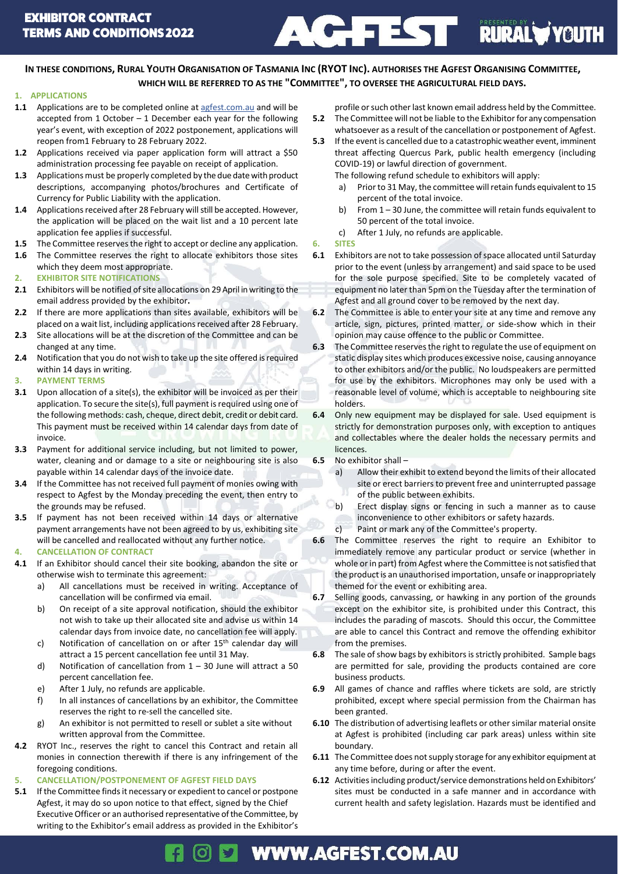

IN THESE CONDITIONS, RURAL YOUTH ORGANISATION OF TASMANIA INC (RYOT INC). AUTHORISES THE AGFEST ORGANISING COMMITTEE, **WHICH WILL BE REFERRED TO AS THE "COMMITTEE", TO OVERSEE THE AGRICULTURAL FIELD DAYS.**

### **1. APPLICATIONS**

- 1.1 Applications are to be completed online a[t agfest.com.au](https://applications.agfest.com.au/) and will be accepted from 1 October – 1 December each year for the following year's event, with exception of 2022 postponement, applications will reopen from1 February to 28 February 2022.
- **1.2** Applications received via paper application form will attract a \$50 administration processing fee payable on receipt of application.
- **1.3** Applications must be properly completed by the due date with product descriptions, accompanying photos/brochures and Certificate of Currency for Public Liability with the application.
- **1.4** Applications received after 28 February will still be accepted. However, the application will be placed on the wait list and a 10 percent late application fee applies if successful.
- **1.5** The Committee reserves the right to accept or decline any application.
- **1.6** The Committee reserves the right to allocate exhibitors those sites which they deem most appropriate.
- **2. EXHIBITOR SITE NOTIFICATIONS**
- **2.1** Exhibitors will be notified of site allocations on 29 April in writing to the email address provided by the exhibitor**.**
- **2.2** If there are more applications than sites available, exhibitors will be placed on a wait list, including applications received after 28 February.
- **2.3** Site allocations will be at the discretion of the Committee and can be changed at any time.
- **2.4** Notification that you do not wish to take up the site offered is required within 14 days in writing.
- **3. PAYMENT TERMS**
- **3.1** Upon allocation of a site(s), the exhibitor will be invoiced as per their application. To secure the site(s), full payment is required using one of the following methods: cash, cheque, direct debit, credit or debit card. This payment must be received within 14 calendar days from date of invoice.
- **3.3** Payment for additional service including, but not limited to power, water, cleaning and or damage to a site or neighbouring site is also payable within 14 calendar days of the invoice date.
- **3.4** If the Committee has not received full payment of monies owing with respect to Agfest by the Monday preceding the event, then entry to the grounds may be refused.
- **3.5** If payment has not been received within 14 days or alternative payment arrangements have not been agreed to by us, exhibiting site will be cancelled and reallocated without any further notice.
- **4. CANCELLATION OF CONTRACT**
- **4.1** If an Exhibitor should cancel their site booking, abandon the site or otherwise wish to terminate this agreement:
	- a) All cancellations must be received in writing. Acceptance of cancellation will be confirmed via email.
	- b) On receipt of a site approval notification, should the exhibitor not wish to take up their allocated site and advise us within 14 calendar days from invoice date, no cancellation fee will apply.
	- c) Notification of cancellation on or after 15th calendar day will attract a 15 percent cancellation fee until 31 May.
	- d) Notification of cancellation from  $1 30$  June will attract a 50 percent cancellation fee.
	- e) After 1 July, no refunds are applicable.
	- f) In all instances of cancellations by an exhibitor, the Committee reserves the right to re-sell the cancelled site.
	- g) An exhibitor is not permitted to resell or sublet a site without written approval from the Committee.
- **4.2** RYOT Inc., reserves the right to cancel this Contract and retain all monies in connection therewith if there is any infringement of the foregoing conditions.

## **5. CANCELLATION/POSTPONEMENT OF AGFEST FIELD DAYS**

**5.1** If the Committee finds it necessary or expedient to cancel or postpone Agfest, it may do so upon notice to that effect, signed by the Chief Executive Officer or an authorised representative of the Committee, by writing to the Exhibitor's email address as provided in the Exhibitor's

- profile or such other last known email address held by the Committee. **5.2** The Committee will not be liable to the Exhibitor for any compensation whatsoever as a result of the cancellation or postponement of Agfest.
- **5.3** If the event is cancelled due to a catastrophic weather event, imminent threat affecting Quercus Park, public health emergency (including COVID-19) or lawful direction of government.

The following refund schedule to exhibitors will apply:

- a) Prior to 31 May, the committee will retain funds equivalent to 15 percent of the total invoice.
- b) From 1 30 June, the committee will retain funds equivalent to 50 percent of the total invoice.
- c) After 1 July, no refunds are applicable.

### **6. SITES**

- **6.1** Exhibitors are not to take possession of space allocated until Saturday prior to the event (unless by arrangement) and said space to be used for the sole purpose specified. Site to be completely vacated of equipment no later than 5pm on the Tuesday after the termination of Agfest and all ground cover to be removed by the next day.
- **6.2** The Committee is able to enter your site at any time and remove any article, sign, pictures, printed matter, or side-show which in their opinion may cause offence to the public or Committee.
- **6.3** The Committee reserves the right to regulate the use of equipment on static display sites which produces excessive noise, causing annoyance to other exhibitors and/or the public. No loudspeakers are permitted for use by the exhibitors. Microphones may only be used with a reasonable level of volume, which is acceptable to neighbouring site holders.
- **6.4** Only new equipment may be displayed for sale. Used equipment is strictly for demonstration purposes only, with exception to antiques and collectables where the dealer holds the necessary permits and licences.
- **6.5** No exhibitor shall
	- a) Allow their exhibit to extend beyond the limits of their allocated site or erect barriers to prevent free and uninterrupted passage of the public between exhibits.
	- b) Erect display signs or fencing in such a manner as to cause inconvenience to other exhibitors or safety hazards.
	- c) Paint or mark any of the Committee's property.
- **6.6** The Committee reserves the right to require an Exhibitor to immediately remove any particular product or service (whether in whole or in part) from Agfest where the Committee is not satisfied that the product is an unauthorised importation, unsafe or inappropriately themed for the event or exhibiting area.
- **6.7** Selling goods, canvassing, or hawking in any portion of the grounds except on the exhibitor site, is prohibited under this Contract, this includes the parading of mascots. Should this occur, the Committee are able to cancel this Contract and remove the offending exhibitor from the premises.
- **6.8** The sale of show bags by exhibitors is strictly prohibited. Sample bags are permitted for sale, providing the products contained are core business products.
- **6.9** All games of chance and raffles where tickets are sold, are strictly prohibited, except where special permission from the Chairman has been granted.
- **6.10** The distribution of advertising leaflets or other similar material onsite at Agfest is prohibited (including car park areas) unless within site boundary.
- **6.11** The Committee does not supply storage for any exhibitor equipment at any time before, during or after the event.
- **6.12** Activities including product/service demonstrations held on Exhibitors' sites must be conducted in a safe manner and in accordance with current health and safety legislation. Hazards must be identified and

### **WWW.AGFEST.COM.AU** [O]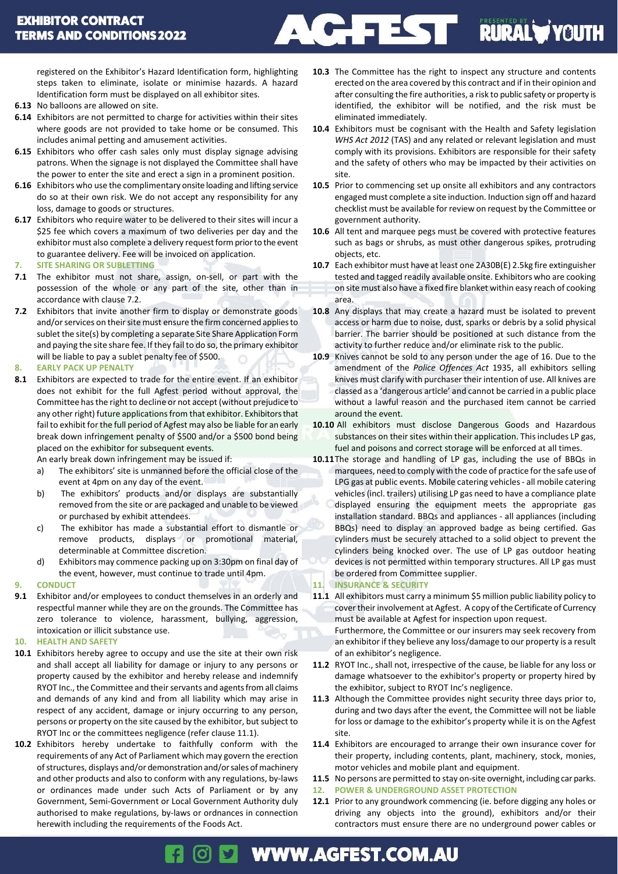

registered on the Exhibitor's Hazard Identification form, highlighting steps taken to eliminate, isolate or minimise hazards. A hazard Identification form must be displayed on all exhibitor sites.

- **6.13** No balloons are allowed on site.
- **6.14** Exhibitors are not permitted to charge for activities within their sites where goods are not provided to take home or be consumed. This includes animal petting and amusement activities.
- **6.15** Exhibitors who offer cash sales only must display signage advising patrons. When the signage is not displayed the Committee shall have the power to enter the site and erect a sign in a prominent position.
- **6.16** Exhibitors who use the complimentary onsite loading and lifting service do so at their own risk. We do not accept any responsibility for any loss, damage to goods or structures.
- **6.17** Exhibitors who require water to be delivered to their sites will incur a \$25 fee which covers a maximum of two deliveries per day and the exhibitor must also complete a delivery request form prior to the event to guarantee delivery. Fee will be invoiced on application.
- **7. SITE SHARING OR SUBLETTING**
- **7.1** The exhibitor must not share, assign, on-sell, or part with the possession of the whole or any part of the site, other than in accordance with clause 7.2.
- **7.2** Exhibitors that invite another firm to display or demonstrate goods and/or services on their site must ensure the firm concerned applies to sublet the site(s) by completing a separate Site Share Application Form and paying the site share fee. If they fail to do so, the primary exhibitor will be liable to pay a sublet penalty fee of \$500.
- **8. EARLY PACK UP PENALTY**
- **8.1** Exhibitors are expected to trade for the entire event. If an exhibitor does not exhibit for the full Agfest period without approval, the Committee has the right to decline or not accept (without prejudice to any other right) future applications from that exhibitor. Exhibitors that fail to exhibit for the full period of Agfest may also be liable for an early break down infringement penalty of \$500 and/or a \$500 bond being placed on the exhibitor for subsequent events.

An early break down infringement may be issued if:

- a) The exhibitors' site is unmanned before the official close of the event at 4pm on any day of the event.
- b) The exhibitors' products and/or displays are substantially removed from the site or are packaged and unable to be viewed or purchased by exhibit attendees.
- c) The exhibitor has made a substantial effort to dismantle or remove products, displays or promotional material, determinable at Committee discretion.
- d) Exhibitors may commence packing up on 3:30pm on final day of the event, however, must continue to trade until 4pm.
- **9. CONDUCT**
- **9.1** Exhibitor and/or employees to conduct themselves in an orderly and respectful manner while they are on the grounds. The Committee has zero tolerance to violence, harassment, bullying, aggression, intoxication or illicit substance use.
- **10. HEALTH AND SAFETY**
- **10.1** Exhibitors hereby agree to occupy and use the site at their own risk and shall accept all liability for damage or injury to any persons or property caused by the exhibitor and hereby release and indemnify RYOT Inc., the Committee and their servants and agents fromall claims and demands of any kind and from all liability which may arise in respect of any accident, damage or injury occurring to any person, persons or property on the site caused by the exhibitor, but subject to RYOT Inc or the committees negligence (refer clause 11.1).
- **10.2** Exhibitors hereby undertake to faithfully conform with the requirements of any Act of Parliament which may govern the erection of structures, displays and/or demonstration and/or sales of machinery and other products and also to conform with any regulations, by-laws or ordinances made under such Acts of Parliament or by any Government, Semi-Government or Local Government Authority duly authorised to make regulations, by-laws or ordnances in connection herewith including the requirements of the Foods Act.
- **10.3** The Committee has the right to inspect any structure and contents erected on the area covered by this contract and if in their opinion and after consulting the fire authorities, a risk to public safety or property is identified, the exhibitor will be notified, and the risk must be eliminated immediately.
- **10.4** Exhibitors must be cognisant with the Health and Safety legislation *WHS Act 2012* (TAS) and any related or relevant legislation and must comply with its provisions. Exhibitors are responsible for their safety and the safety of others who may be impacted by their activities on site.
- **10.5** Prior to commencing set up onsite all exhibitors and any contractors engaged must complete a site induction. Induction sign off and hazard checklist must be available for review on request by the Committee or government authority.
- **10.6** All tent and marquee pegs must be covered with protective features such as bags or shrubs, as must other dangerous spikes, protruding objects, etc.
- **10.7** Each exhibitor must have at least one 2A30B(E) 2.5kg fire extinguisher tested and tagged readily available onsite. Exhibitors who are cooking on site must also have a fixed fire blanket within easy reach of cooking area.
- **10.8** Any displays that may create a hazard must be isolated to prevent access or harm due to noise, dust, sparks or debris by a solid physical barrier. The barrier should be positioned at such distance from the activity to further reduce and/or eliminate risk to the public.
- **10.9** Knives cannot be sold to any person under the age of 16. Due to the amendment of the *Police Offences Act* 1935, all exhibitors selling knives must clarify with purchaser their intention of use. All knives are classed as a 'dangerous article' and cannot be carried in a public place without a lawful reason and the purchased item cannot be carried around the event.
- **10.10** All exhibitors must disclose Dangerous Goods and Hazardous substances on their sites within their application. This includes LP gas, fuel and poisons and correct storage will be enforced at all times.
- **10.11**The storage and handling of LP gas, including the use of BBQs in marquees, need to comply with the code of practice for the safe use of LPG gas at public events. Mobile catering vehicles - all mobile catering vehicles (incl. trailers) utilising LP gas need to have a compliance plate displayed ensuring the equipment meets the appropriate gas installation standard. BBQs and appliances - all appliances (including BBQs) need to display an approved badge as being certified. Gas cylinders must be securely attached to a solid object to prevent the cylinders being knocked over. The use of LP gas outdoor heating devices is not permitted within temporary structures. All LP gas must be ordered from Committee supplier.

### **11. INSURANCE & SECURITY**

- **11.1** All exhibitors must carry a minimum \$5 million public liability policy to cover their involvement at Agfest. A copy of the Certificate of Currency must be available at Agfest for inspection upon request. Furthermore, the Committee or our insurers may seek recovery from an exhibitor if they believe any loss/damage to our property is a result of an exhibitor's negligence.
- **11.2** RYOT Inc., shall not, irrespective of the cause, be liable for any loss or damage whatsoever to the exhibitor's property or property hired by the exhibitor, subject to RYOT Inc's negligence.
- **11.3** Although the Committee provides night security three days prior to, during and two days after the event, the Committee will not be liable for loss or damage to the exhibitor's property while it is on the Agfest site.
- **11.4** Exhibitors are encouraged to arrange their own insurance cover for their property, including contents, plant, machinery, stock, monies, motor vehicles and mobile plant and equipment.
- **11.5** No persons are permitted to stay on-site overnight, including car parks.
- **12. POWER & UNDERGROUND ASSET PROTECTION**
- **12.1** Prior to any groundwork commencing (ie. before digging any holes or driving any objects into the ground), exhibitors and/or their contractors must ensure there are no underground power cables or

# **WWW.AGFEST.COM.AU**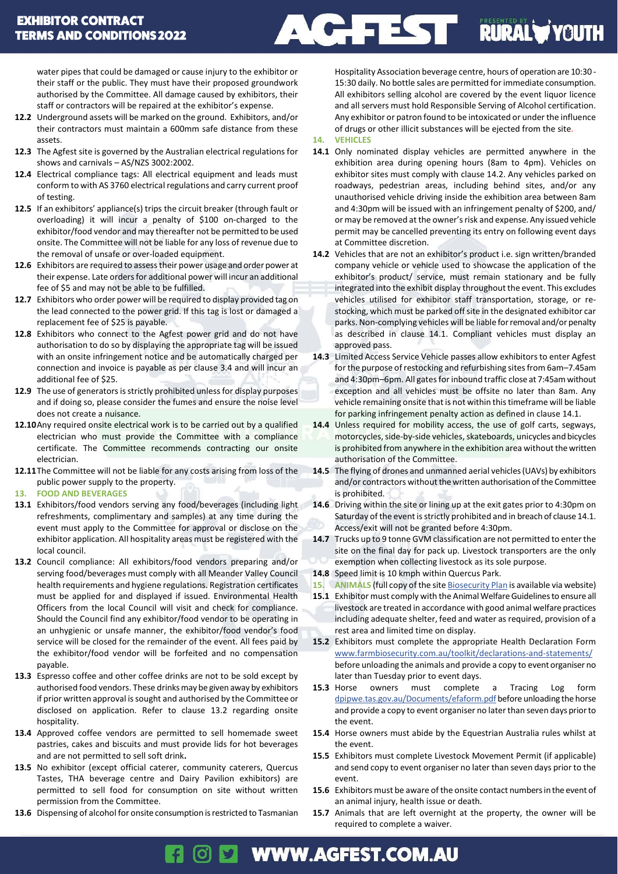**AC TE RURAL VOUTH** 

water pipes that could be damaged or cause injury to the exhibitor or their staff or the public. They must have their proposed groundwork authorised by the Committee. All damage caused by exhibitors, their staff or contractors will be repaired at the exhibitor's expense.

- **12.2** Underground assets will be marked on the ground. Exhibitors, and/or their contractors must maintain a 600mm safe distance from these assets.
- **12.3** The Agfest site is governed by the Australian electrical regulations for shows and carnivals – AS/NZS 3002:2002.
- **12.4** Electrical compliance tags: All electrical equipment and leads must conform to with AS 3760 electrical regulations and carry current proof of testing.
- **12.5** If an exhibitors' appliance(s) trips the circuit breaker (through fault or overloading) it will incur a penalty of \$100 on-charged to the exhibitor/food vendor and may thereafter not be permitted to be used onsite. The Committee will not be liable for any loss of revenue due to the removal of unsafe or over-loaded equipment.
- **12.6** Exhibitors are required to assess their power usage and order power at their expense. Late orders for additional power will incur an additional fee of \$5 and may not be able to be fulfilled.
- **12.7** Exhibitors who order power will be required to display provided tag on the lead connected to the power grid. If this tag is lost or damaged a replacement fee of \$25 is payable.
- **12.8** Exhibitors who connect to the Agfest power grid and do not have authorisation to do so by displaying the appropriate tag will be issued with an onsite infringement notice and be automatically charged per connection and invoice is payable as per clause 3.4 and will incur an additional fee of \$25.
- **12.9** The use of generators is strictly prohibited unless for display purposes and if doing so, please consider the fumes and ensure the noise level does not create a nuisance.
- **12.10**Any required onsite electrical work is to be carried out by a qualified electrician who must provide the Committee with a compliance certificate. The Committee recommends contracting our onsite electrician.
- **12.11**The Committee will not be liable for any costs arising from loss of the public power supply to the property.

### **13. FOOD AND BEVERAGES**

- **13.1** Exhibitors/food vendors serving any food/beverages (including light refreshments, complimentary and samples) at any time during the event must apply to the Committee for approval or disclose on the exhibitor application. All hospitality areas must be registered with the local council.
- **13.2** Council compliance: All exhibitors/food vendors preparing and/or serving food/beverages must comply with all Meander Valley Council health requirements and hygiene regulations. Registration certificates must be applied for and displayed if issued. Environmental Health Officers from the local Council will visit and check for compliance. Should the Council find any exhibitor/food vendor to be operating in an unhygienic or unsafe manner, the exhibitor/food vendor's food service will be closed for the remainder of the event. All fees paid by the exhibitor/food vendor will be forfeited and no compensation payable.
- **13.3** Espresso coffee and other coffee drinks are not to be sold except by authorised food vendors. These drinks may be given away by exhibitors if prior written approval is sought and authorised by the Committee or disclosed on application. Refer to clause 13.2 regarding onsite hospitality.
- **13.4** Approved coffee vendors are permitted to sell homemade sweet pastries, cakes and biscuits and must provide lids for hot beverages and are not permitted to sell soft drink**.**
- **13.5** No exhibitor (except official caterer, community caterers, Quercus Tastes, THA beverage centre and Dairy Pavilion exhibitors) are permitted to sell food for consumption on site without written permission from the Committee.
- **13.6** Dispensing of alcohol for onsite consumption is restricted to Tasmanian

Hospitality Association beverage centre, hours of operation are 10:30 - 15:30 daily. No bottle sales are permitted for immediate consumption. All exhibitors selling alcohol are covered by the event liquor licence and all servers must hold Responsible Serving of Alcohol certification. Any exhibitor or patron found to be intoxicated or under the influence of drugs or other illicit substances will be ejected from the site.

### **14. VEHICLES**

- **14.1** Only nominated display vehicles are permitted anywhere in the exhibition area during opening hours (8am to 4pm). Vehicles on exhibitor sites must comply with clause 14.2. Any vehicles parked on roadways, pedestrian areas, including behind sites, and/or any unauthorised vehicle driving inside the exhibition area between 8am and 4:30pm will be issued with an infringement penalty of \$200, and/ or may be removed at the owner's risk and expense. Any issued vehicle permit may be cancelled preventing its entry on following event days at Committee discretion.
- **14.2** Vehicles that are not an exhibitor's product i.e. sign written/branded company vehicle or vehicle used to showcase the application of the exhibitor's product/ service, must remain stationary and be fully integrated into the exhibit display throughout the event. This excludes vehicles utilised for exhibitor staff transportation, storage, or restocking, which must be parked off site in the designated exhibitor car parks. Non-complying vehicles will be liable for removal and/or penalty as described in clause 14.1. Compliant vehicles must display an approved pass.
- **14.3** Limited Access Service Vehicle passes allow exhibitors to enter Agfest for the purpose of restocking and refurbishing sites from 6am–7.45am and 4:30pm–6pm. All gates for inbound traffic close at 7:45am without exception and all vehicles must be offsite no later than 8am. Any vehicle remaining onsite that is not within this timeframe will be liable for parking infringement penalty action as defined in clause 14.1.
- **14.4** Unless required for mobility access, the use of golf carts, segways, motorcycles, side-by-side vehicles, skateboards, unicycles and bicycles is prohibited from anywhere in the exhibition area without the written authorisation of the Committee.
- **14.5** The flying of drones and unmanned aerial vehicles (UAVs) by exhibitors and/or contractors without the written authorisation of the Committee is prohibited.
- **14.6** Driving within the site or lining up at the exit gates prior to 4:30pm on Saturday of the event is strictly prohibited and in breach of clause 14.1. Access/exit will not be granted before 4:30pm.
- **14.7** Trucks up to 9 tonne GVM classification are not permitted to enterthe site on the final day for pack up. Livestock transporters are the only exemption when collecting livestock as its sole purpose.
- **14.8** Speed limit is 10 kmph within Quercus Park.
- **15. ANIMALS** (full copy of the sit[e Biosecurity](https://www.ruralyouth.com.au/client-assets/documents/BiosecurityPlanQuercusPark.pdf) Plan is available via website)
- **15.1** Exhibitor must comply with the Animal Welfare Guidelines to ensure all livestock are treated in accordance with good animal welfare practices including adequate shelter, feed and water as required, provision of a rest area and limited time on display.
- **15.2** Exhibitors must complete the appropriate Health Declaration Form [www.farmbiosecurity.com.au/toolkit/declarations-and-statements/](http://www.farmbiosecurity.com.au/toolkit/declarations-and-statements/) before unloading the animals and provide a copy to event organiser no later than Tuesday prior to event days.
- **15.3** Horse owners must complete a Tracing Log form [dpipwe.tas.gov.au/Documents/efaform.pdf](https://dpipwe.tas.gov.au/Documents/efaform.pdf) before unloading the horse and provide a copy to event organiser no later than seven days prior to the event.
- **15.4** Horse owners must abide by the Equestrian Australia rules whilst at the event.
- **15.5** Exhibitors must complete Livestock Movement Permit (if applicable) and send copy to event organiser no later than seven days prior to the event.
- **15.6** Exhibitors must be aware of the onsite contact numbersin the event of an animal injury, health issue or death.
- **15.7** Animals that are left overnight at the property, the owner will be required to complete a waiver.

#### ര **WWW.AGFEST.COM.AU**